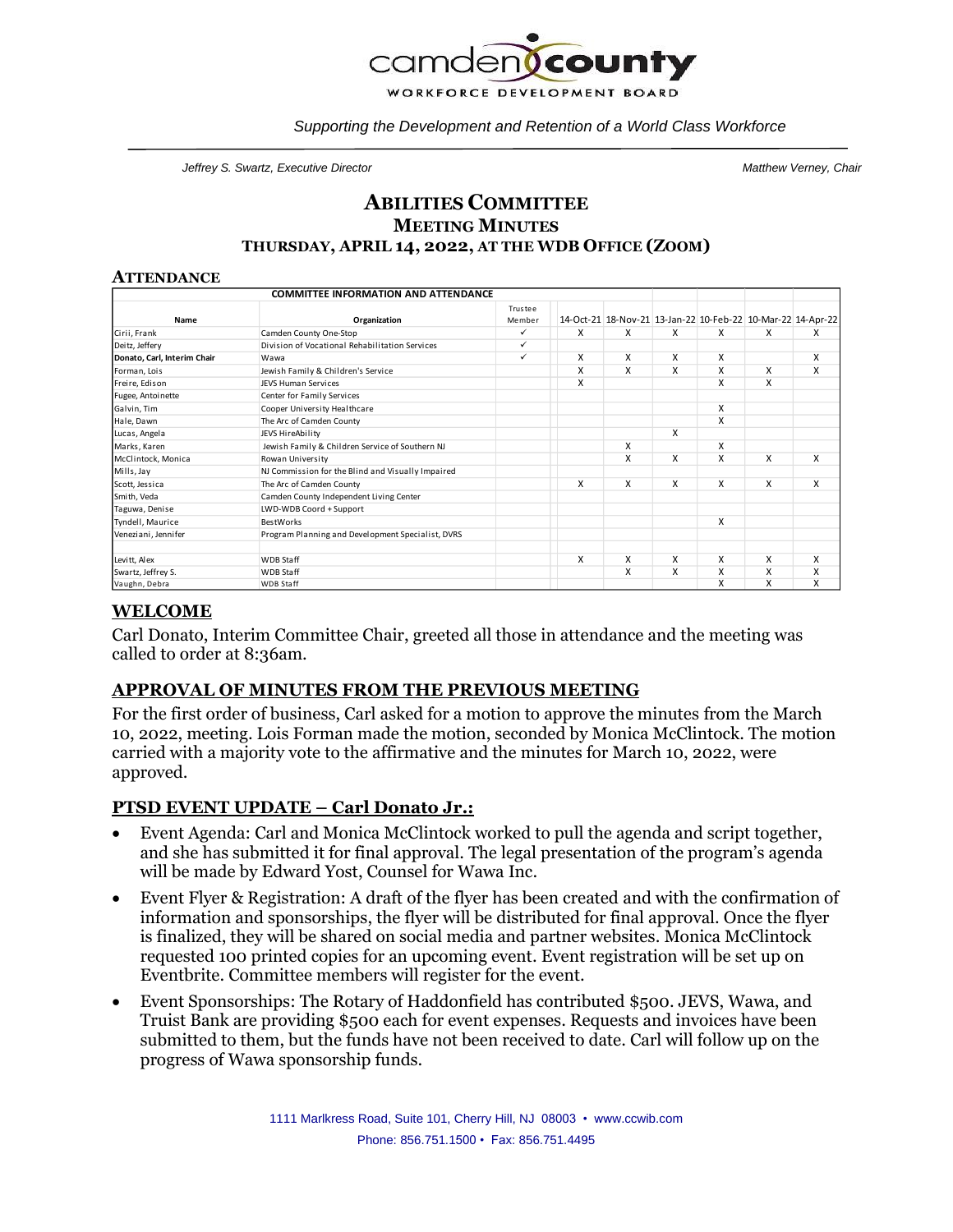

*Supporting the Development and Retention of a World Class Workforce*

*Jeffrey S. Swartz, Executive Director Matthew Verney, Chair*

## **ABILITIES COMMITTEE MEETING MINUTES THURSDAY, APRIL 14, 2022, AT THE WDB OFFICE (ZOOM)**

#### **ATTENDANCE**

| <b>COMMITTEE INFORMATION AND ATTENDANCE</b> |                                                   |                   |   |                                                             |   |   |   |   |
|---------------------------------------------|---------------------------------------------------|-------------------|---|-------------------------------------------------------------|---|---|---|---|
| Name                                        | Organization                                      | Trustee<br>Member |   | 14-Oct-21 18-Nov-21 13-Jan-22 10-Feb-22 10-Mar-22 14-Apr-22 |   |   |   |   |
| Cirii, Frank                                | Camden County One-Stop                            | ✓                 | x | x                                                           | x | x | x | x |
| Deitz, Jeffery                              | Division of Vocational Rehabilitation Services    | ✓                 |   |                                                             |   |   |   |   |
| Donato, Carl, Interim Chair                 | Wawa                                              | ✓                 | X | X                                                           | X | X |   | X |
| Forman, Lois                                | Jewish Family & Children's Service                |                   | X | X                                                           | X | X | X | X |
| Freire, Edison                              | <b>JEVS Human Services</b>                        |                   | x |                                                             |   | X | x |   |
| Fugee, Antoinette                           | Center for Family Services                        |                   |   |                                                             |   |   |   |   |
| Galvin, Tim                                 | Cooper University Healthcare                      |                   |   |                                                             |   | X |   |   |
| Hale, Dawn                                  | The Arc of Camden County                          |                   |   |                                                             |   | X |   |   |
| Lucas, Angela                               | JEVS HireAbility                                  |                   |   |                                                             | X |   |   |   |
| Marks, Karen                                | Jewish Family & Children Service of Southern NJ   |                   |   | X                                                           |   | X |   |   |
| McClintock, Monica                          | Rowan University                                  |                   |   | X                                                           | X | X | X | X |
| Mills, Jay                                  | NJ Commission for the Blind and Visually Impaired |                   |   |                                                             |   |   |   |   |
| Scott, Jessica                              | The Arc of Camden County                          |                   | X | X                                                           | X | X | x | X |
| Smith, Veda                                 | Camden County Independent Living Center           |                   |   |                                                             |   |   |   |   |
| Taguwa, Denise                              | LWD-WDB Coord + Support                           |                   |   |                                                             |   |   |   |   |
| Tyndell, Maurice                            | <b>BestWorks</b>                                  |                   |   |                                                             |   | X |   |   |
| Veneziani, Jennifer                         | Program Planning and Development Specialist, DVRS |                   |   |                                                             |   |   |   |   |
| Levitt, Alex                                | <b>WDB Staff</b>                                  |                   | x | X                                                           | X | X | x | X |
| Swartz, Jeffrey S.                          | <b>WDB Staff</b>                                  |                   |   | X                                                           | x | X | X | X |
| Vaughn, Debra                               | <b>WDB Staff</b>                                  |                   |   |                                                             |   | X | X | X |

# **WELCOME**

Carl Donato, Interim Committee Chair, greeted all those in attendance and the meeting was called to order at 8:36am.

## **APPROVAL OF MINUTES FROM THE PREVIOUS MEETING**

For the first order of business, Carl asked for a motion to approve the minutes from the March 10, 2022, meeting. Lois Forman made the motion, seconded by Monica McClintock. The motion carried with a majority vote to the affirmative and the minutes for March 10, 2022, were approved.

## **PTSD EVENT UPDATE – Carl Donato Jr.:**

- Event Agenda: Carl and Monica McClintock worked to pull the agenda and script together, and she has submitted it for final approval. The legal presentation of the program's agenda will be made by Edward Yost, Counsel for Wawa Inc.
- Event Flyer & Registration: A draft of the flyer has been created and with the confirmation of information and sponsorships, the flyer will be distributed for final approval. Once the flyer is finalized, they will be shared on social media and partner websites. Monica McClintock requested 100 printed copies for an upcoming event. Event registration will be set up on Eventbrite. Committee members will register for the event.
- Event Sponsorships: The Rotary of Haddonfield has contributed \$500. JEVS, Wawa, and Truist Bank are providing \$500 each for event expenses. Requests and invoices have been submitted to them, but the funds have not been received to date. Carl will follow up on the progress of Wawa sponsorship funds.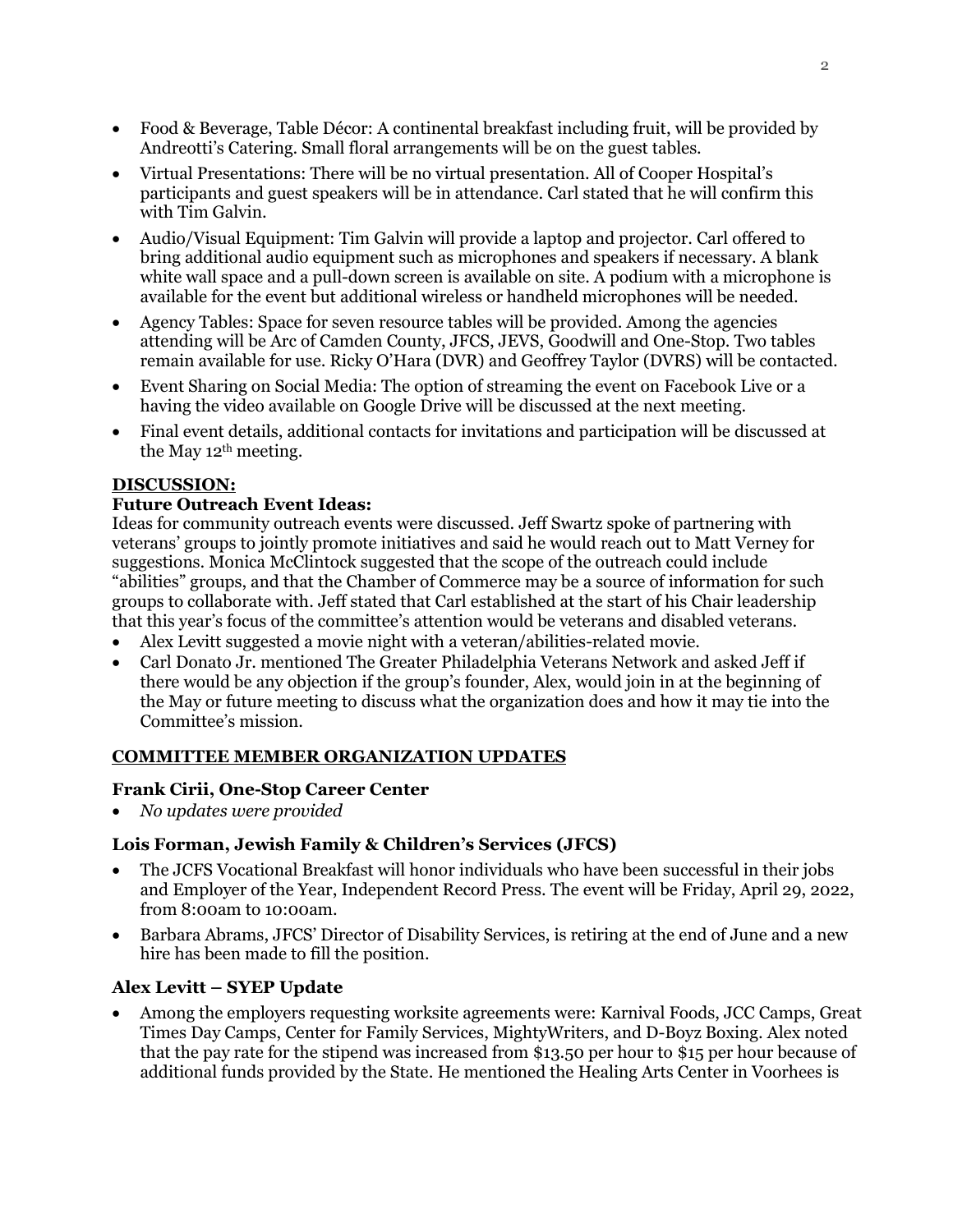- Food & Beverage, Table Décor: A continental breakfast including fruit, will be provided by Andreotti's Catering. Small floral arrangements will be on the guest tables.
- Virtual Presentations: There will be no virtual presentation. All of Cooper Hospital's participants and guest speakers will be in attendance. Carl stated that he will confirm this with Tim Galvin.
- Audio/Visual Equipment: Tim Galvin will provide a laptop and projector. Carl offered to bring additional audio equipment such as microphones and speakers if necessary. A blank white wall space and a pull-down screen is available on site. A podium with a microphone is available for the event but additional wireless or handheld microphones will be needed.
- Agency Tables: Space for seven resource tables will be provided. Among the agencies attending will be Arc of Camden County, JFCS, JEVS, Goodwill and One-Stop. Two tables remain available for use. Ricky O'Hara (DVR) and Geoffrey Taylor (DVRS) will be contacted.
- Event Sharing on Social Media: The option of streaming the event on Facebook Live or a having the video available on Google Drive will be discussed at the next meeting.
- Final event details, additional contacts for invitations and participation will be discussed at the May  $12<sup>th</sup>$  meeting.

## **DISCUSSION:**

### **Future Outreach Event Ideas:**

Ideas for community outreach events were discussed. Jeff Swartz spoke of partnering with veterans' groups to jointly promote initiatives and said he would reach out to Matt Verney for suggestions. Monica McClintock suggested that the scope of the outreach could include "abilities" groups, and that the Chamber of Commerce may be a source of information for such groups to collaborate with. Jeff stated that Carl established at the start of his Chair leadership that this year's focus of the committee's attention would be veterans and disabled veterans.

- Alex Levitt suggested a movie night with a veteran/abilities-related movie.
- Carl Donato Jr. mentioned The Greater Philadelphia Veterans Network and asked Jeff if there would be any objection if the group's founder, Alex, would join in at the beginning of the May or future meeting to discuss what the organization does and how it may tie into the Committee's mission.

### **COMMITTEE MEMBER ORGANIZATION UPDATES**

### **Frank Cirii, One-Stop Career Center**

• *No updates were provided* 

### **Lois Forman, Jewish Family & Children's Services (JFCS)**

- The JCFS Vocational Breakfast will honor individuals who have been successful in their jobs and Employer of the Year, Independent Record Press. The event will be Friday, April 29, 2022, from 8:00am to 10:00am.
- Barbara Abrams, JFCS' Director of Disability Services, is retiring at the end of June and a new hire has been made to fill the position.

## **Alex Levitt – SYEP Update**

• Among the employers requesting worksite agreements were: Karnival Foods, JCC Camps, Great Times Day Camps, Center for Family Services, MightyWriters, and D-Boyz Boxing. Alex noted that the pay rate for the stipend was increased from \$13.50 per hour to \$15 per hour because of additional funds provided by the State. He mentioned the Healing Arts Center in Voorhees is